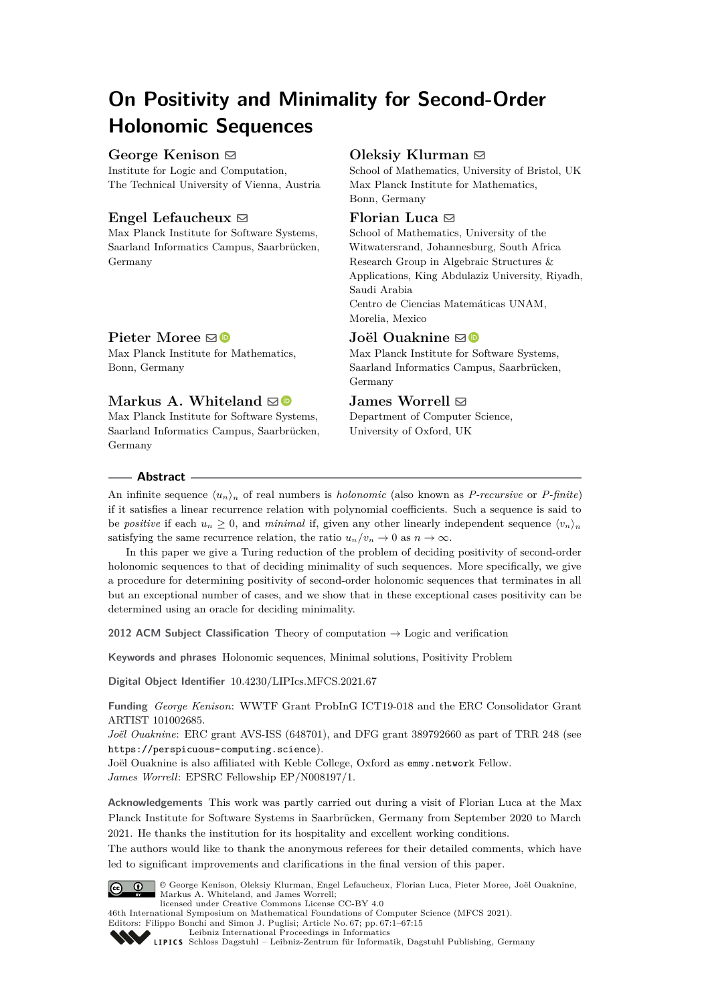# **On Positivity and Minimality for Second-Order Holonomic Sequences**

## **George Kenison** ⊠

Institute for Logic and Computation, The Technical University of Vienna, Austria

# **Engel Lefaucheux**  $\boxtimes$

Max Planck Institute for Software Systems, Saarland Informatics Campus, Saarbrücken, Germany

# **Oleksiy Klurman** ⊠

School of Mathematics, University of Bristol, UK Max Planck Institute for Mathematics, Bonn, Germany

## **Florian Luca** ⊠

School of Mathematics, University of the Witwatersrand, Johannesburg, South Africa Research Group in Algebraic Structures & Applications, King Abdulaziz University, Riyadh, Saudi Arabia Centro de Ciencias Matemáticas UNAM, Morelia, Mexico

# **Joël Ouaknine** ⊠<sup>®</sup>

Max Planck Institute for Software Systems, Saarland Informatics Campus, Saarbrücken, Germany

# $J$ ames Worrell  $\boxdot$

Department of Computer Science, University of Oxford, UK

# **Pieter Moree**  $\boxtimes$

Max Planck Institute for Mathematics, Bonn, Germany

# **Markus A. Whiteland**  $\boxtimes$

Max Planck Institute for Software Systems, Saarland Informatics Campus, Saarbrücken, Germany

## **Abstract**

An infinite sequence  $\langle u_n \rangle_n$  of real numbers is *holonomic* (also known as *P-recursive* or *P-finite*) if it satisfies a linear recurrence relation with polynomial coefficients. Such a sequence is said to be *positive* if each  $u_n \geq 0$ , and *minimal* if, given any other linearly independent sequence  $\langle v_n \rangle_n$ satisfying the same recurrence relation, the ratio  $u_n/v_n \to 0$  as  $n \to \infty$ .

In this paper we give a Turing reduction of the problem of deciding positivity of second-order holonomic sequences to that of deciding minimality of such sequences. More specifically, we give a procedure for determining positivity of second-order holonomic sequences that terminates in all but an exceptional number of cases, and we show that in these exceptional cases positivity can be determined using an oracle for deciding minimality.

**2012 ACM Subject Classification** Theory of computation → Logic and verification

**Keywords and phrases** Holonomic sequences, Minimal solutions, Positivity Problem

**Digital Object Identifier** [10.4230/LIPIcs.MFCS.2021.67](https://doi.org/10.4230/LIPIcs.MFCS.2021.67)

**Funding** *George Kenison*: WWTF Grant ProbInG ICT19-018 and the ERC Consolidator Grant ARTIST 101002685.

*Joël Ouaknine*: ERC grant AVS-ISS (648701), and DFG grant 389792660 as part of TRR 248 (see <https://perspicuous-computing.science>).

Joël Ouaknine is also affiliated with Keble College, Oxford as [emmy.network](http://emmy.network/) Fellow. *James Worrell*: EPSRC Fellowship EP/N008197/1.

**Acknowledgements** This work was partly carried out during a visit of Florian Luca at the Max Planck Institute for Software Systems in Saarbrücken, Germany from September 2020 to March 2021. He thanks the institution for its hospitality and excellent working conditions.

The authors would like to thank the anonymous referees for their detailed comments, which have led to significant improvements and clarifications in the final version of this paper.



© George Kenison, Oleksiy Klurman, Engel Lefaucheux, Florian Luca, Pieter Moree, Joël Ouaknine, Markus A. Whiteland, and James Worrell; licensed under Creative Commons License CC-BY 4.0

46th International Symposium on Mathematical Foundations of Computer Science (MFCS 2021).

Editors: Filippo Bonchi and Simon J. Puglisi; Article No. 67; pp. 67:1–67:15



[Leibniz International Proceedings in Informatics](https://www.dagstuhl.de/lipics/)

[Schloss Dagstuhl – Leibniz-Zentrum für Informatik, Dagstuhl Publishing, Germany](https://www.dagstuhl.de)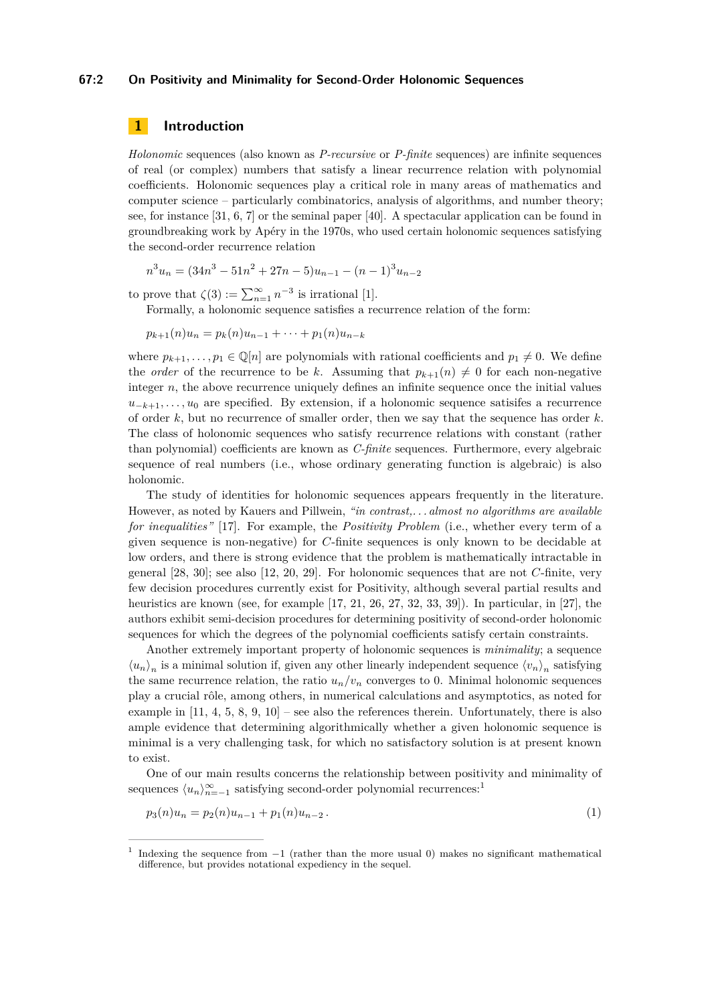#### **67:2 On Positivity and Minimality for Second-Order Holonomic Sequences**

# **1 Introduction**

*Holonomic* sequences (also known as *P-recursive* or *P-finite* sequences) are infinite sequences of real (or complex) numbers that satisfy a linear recurrence relation with polynomial coefficients. Holonomic sequences play a critical role in many areas of mathematics and computer science – particularly combinatorics, analysis of algorithms, and number theory; see, for instance [\[31,](#page-13-0) [6,](#page-12-0) [7\]](#page-12-1) or the seminal paper [\[40\]](#page-14-0). A spectacular application can be found in groundbreaking work by Apéry in the 1970s, who used certain holonomic sequences satisfying the second-order recurrence relation

$$
n^{3}u_{n} = (34n^{3} - 51n^{2} + 27n - 5)u_{n-1} - (n-1)^{3}u_{n-2}
$$

to prove that  $\zeta(3) := \sum_{n=1}^{\infty} n^{-3}$  is irrational [\[1\]](#page-12-2).

Formally, a holonomic sequence satisfies a recurrence relation of the form:

 $p_{k+1}(n)u_n = p_k(n)u_{n-1} + \cdots + p_1(n)u_{n-k}$ 

where  $p_{k+1}, \ldots, p_1 \in \mathbb{Q}[n]$  are polynomials with rational coefficients and  $p_1 \neq 0$ . We define the *order* of the recurrence to be k. Assuming that  $p_{k+1}(n) \neq 0$  for each non-negative integer *n*, the above recurrence uniquely defines an infinite sequence once the initial values  $u_{-k+1}, \ldots, u_0$  are specified. By extension, if a holonomic sequence satisifes a recurrence of order *k*, but no recurrence of smaller order, then we say that the sequence has order *k*. The class of holonomic sequences who satisfy recurrence relations with constant (rather than polynomial) coefficients are known as *C-finite* sequences. Furthermore, every algebraic sequence of real numbers (i.e., whose ordinary generating function is algebraic) is also holonomic.

The study of identities for holonomic sequences appears frequently in the literature. However, as noted by Kauers and Pillwein, *"in contrast,. . . almost no algorithms are available for inequalities"* [\[17\]](#page-13-1). For example, the *Positivity Problem* (i.e., whether every term of a given sequence is non-negative) for *C*-finite sequences is only known to be decidable at low orders, and there is strong evidence that the problem is mathematically intractable in general [\[28,](#page-13-2) [30\]](#page-13-3); see also [\[12,](#page-13-4) [20,](#page-13-5) [29\]](#page-13-6). For holonomic sequences that are not *C*-finite, very few decision procedures currently exist for Positivity, although several partial results and heuristics are known (see, for example [\[17,](#page-13-1) [21,](#page-13-7) [26,](#page-13-8) [27,](#page-13-9) [32,](#page-14-1) [33,](#page-14-2) [39\]](#page-14-3)). In particular, in [\[27\]](#page-13-9), the authors exhibit semi-decision procedures for determining positivity of second-order holonomic sequences for which the degrees of the polynomial coefficients satisfy certain constraints.

Another extremely important property of holonomic sequences is *minimality*; a sequence  $\langle u_n \rangle_n$  is a minimal solution if, given any other linearly independent sequence  $\langle v_n \rangle_n$  satisfying the same recurrence relation, the ratio  $u_n/v_n$  converges to 0. Minimal holonomic sequences play a crucial rôle, among others, in numerical calculations and asymptotics, as noted for example in  $[11, 4, 5, 8, 9, 10]$  $[11, 4, 5, 8, 9, 10]$  $[11, 4, 5, 8, 9, 10]$  $[11, 4, 5, 8, 9, 10]$  $[11, 4, 5, 8, 9, 10]$  $[11, 4, 5, 8, 9, 10]$  $[11, 4, 5, 8, 9, 10]$  $[11, 4, 5, 8, 9, 10]$  $[11, 4, 5, 8, 9, 10]$  $[11, 4, 5, 8, 9, 10]$  $[11, 4, 5, 8, 9, 10]$  – see also the references therein. Unfortunately, there is also ample evidence that determining algorithmically whether a given holonomic sequence is minimal is a very challenging task, for which no satisfactory solution is at present known to exist.

One of our main results concerns the relationship between positivity and minimality of sequences  $\langle u_n \rangle_{n=-1}^{\infty}$  $\langle u_n \rangle_{n=-1}^{\infty}$  $\langle u_n \rangle_{n=-1}^{\infty}$  satisfying second-order polynomial recurrences:<sup>1</sup>

<span id="page-1-1"></span>
$$
p_3(n)u_n = p_2(n)u_{n-1} + p_1(n)u_{n-2}.
$$
\n<sup>(1)</sup>

<span id="page-1-0"></span><sup>1</sup> Indexing the sequence from −1 (rather than the more usual 0) makes no significant mathematical difference, but provides notational expediency in the sequel.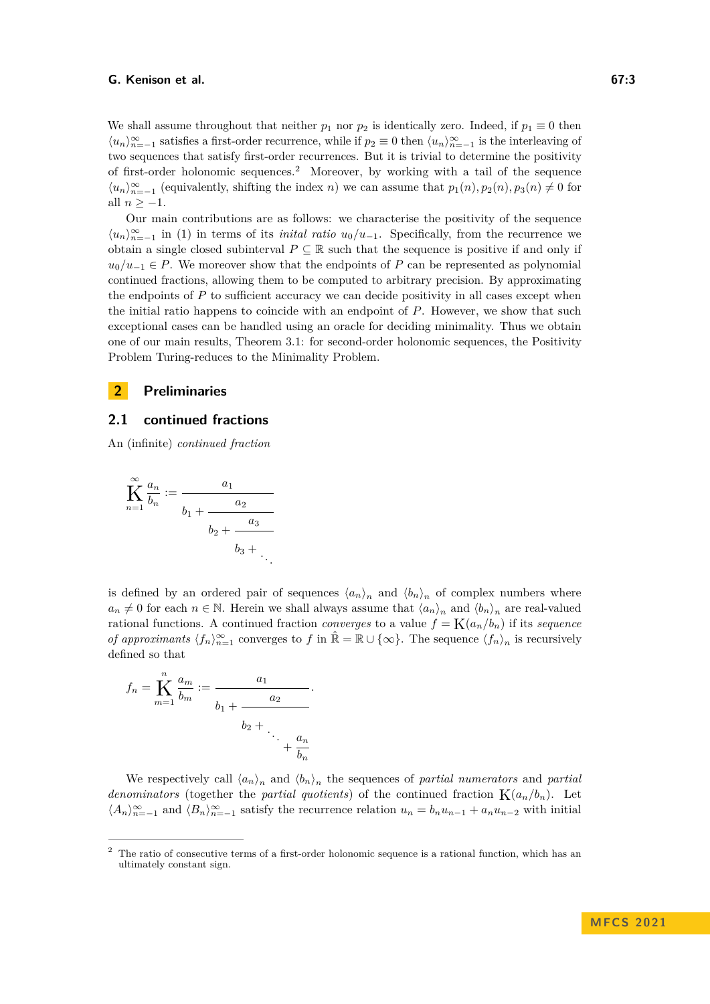We shall assume throughout that neither  $p_1$  nor  $p_2$  is identically zero. Indeed, if  $p_1 \equiv 0$  then  $\langle u_n \rangle_{n=-1}^{\infty}$  satisfies a first-order recurrence, while if  $p_2 \equiv 0$  then  $\langle u_n \rangle_{n=-1}^{\infty}$  is the interleaving of two sequences that satisfy first-order recurrences. But it is trivial to determine the positivity of first-order holonomic sequences.[2](#page-2-0) Moreover, by working with a tail of the sequence  $\langle u_n \rangle_{n=-1}^{\infty}$  (equivalently, shifting the index *n*) we can assume that  $p_1(n), p_2(n), p_3(n) \neq 0$  for all  $n > -1$ .

Our main contributions are as follows: we characterise the positivity of the sequence  $\langle u_n \rangle_{n=-1}^{\infty}$  in [\(1\)](#page-1-1) in terms of its *inital ratio*  $u_0/u_{-1}$ . Specifically, from the recurrence we obtain a single closed subinterval  $P \subseteq \mathbb{R}$  such that the sequence is positive if and only if  $u_0/u_{-1} \in P$ . We moreover show that the endpoints of *P* can be represented as polynomial continued fractions, allowing them to be computed to arbitrary precision. By approximating the endpoints of P to sufficient accuracy we can decide positivity in all cases except when the initial ratio happens to coincide with an endpoint of *P*. However, we show that such exceptional cases can be handled using an oracle for deciding minimality. Thus we obtain one of our main results, [Theorem 3.1:](#page-6-0) for second-order holonomic sequences, the Positivity Problem Turing-reduces to the Minimality Problem.

# **2 Preliminaries**

### **2.1 continued fractions**

An (infinite) *continued fraction*

$$
\widetilde{K}_{n=1}^{\infty} \frac{a_n}{b_n} := \frac{a_1}{b_1 + \frac{a_2}{b_2 + \frac{a_3}{b_3 + \ddots}}}
$$

is defined by an ordered pair of sequences  $\langle a_n \rangle_n$  and  $\langle b_n \rangle_n$  of complex numbers where  $a_n \neq 0$  for each  $n \in \mathbb{N}$ . Herein we shall always assume that  $\langle a_n \rangle_n$  and  $\langle b_n \rangle_n$  are real-valued rational functions. A continued fraction *converges* to a value  $f = K(a_n/b_n)$  if its *sequence of approximants*  $\langle f_n \rangle_{n=1}^{\infty}$  converges to *f* in  $\hat{\mathbb{R}} = \mathbb{R} \cup \{\infty\}$ . The sequence  $\langle f_n \rangle_n$  is recursively defined so that

*.*

$$
f_n = \sum_{m=1}^n \frac{a_m}{b_m} := \frac{a_1}{b_1 + \frac{a_2}{\ddots + \frac{a_n}{b_n}}}
$$

We respectively call  $\langle a_n \rangle_n$  and  $\langle b_n \rangle_n$  the sequences of *partial numerators* and *partial denominators* (together the *partial quotients*) of the continued fraction  $K(a_n/b_n)$ . Let  $\langle A_n \rangle_{n=-1}^{\infty}$  and  $\langle B_n \rangle_{n=-1}^{\infty}$  satisfy the recurrence relation  $u_n = b_n u_{n-1} + a_n u_{n-2}$  with initial

<span id="page-2-0"></span><sup>&</sup>lt;sup>2</sup> The ratio of consecutive terms of a first-order holonomic sequence is a rational function, which has an ultimately constant sign.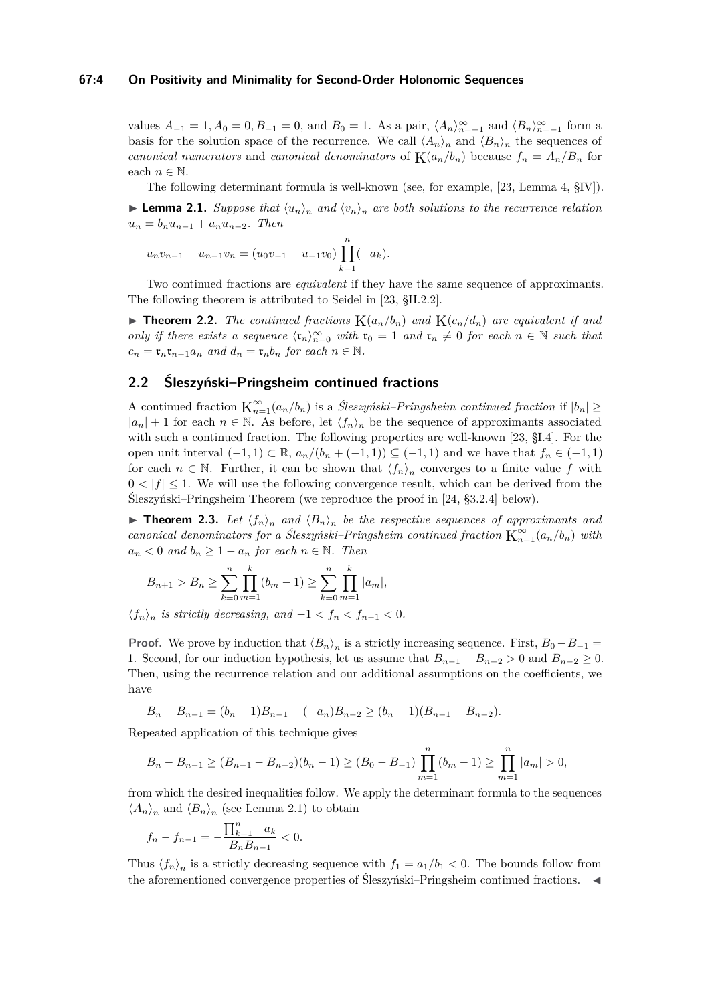#### **67:4 On Positivity and Minimality for Second-Order Holonomic Sequences**

values  $A_{-1} = 1, A_0 = 0, B_{-1} = 0$ , and  $B_0 = 1$ . As a pair,  $\langle A_n \rangle_{n=-1}^{\infty}$  and  $\langle B_n \rangle_{n=-1}^{\infty}$  form a basis for the solution space of the recurrence. We call  $\langle A_n \rangle_n$  and  $\langle B_n \rangle_n$  the sequences of *canonical numerators* and *canonical denominators* of  $K(a_n/b_n)$  because  $f_n = A_n/B_n$  for each  $n \in \mathbb{N}$ .

The following determinant formula is well-known (see, for example, [\[23,](#page-13-11) Lemma 4, §IV]).

<span id="page-3-0"></span> $\blacktriangleright$  **Lemma 2.1.** *Suppose that*  $\langle u_n \rangle_n$  *and*  $\langle v_n \rangle_n$  *are both solutions to the recurrence relation*  $u_n = b_n u_{n-1} + a_n u_{n-2}$ . Then

$$
u_n v_{n-1} - u_{n-1} v_n = (u_0 v_{-1} - u_{-1} v_0) \prod_{k=1}^n (-a_k).
$$

Two continued fractions are *equivalent* if they have the same sequence of approximants. The following theorem is attributed to Seidel in [\[23,](#page-13-11) §II.2.2].

<span id="page-3-1"></span> $\triangleright$  **Theorem 2.2.** *The continued fractions*  $K(a_n/b_n)$  *and*  $K(c_n/d_n)$  *are equivalent if and only if there exists a sequence*  $\langle \mathfrak{r}_n \rangle_{n=0}^{\infty}$  *with*  $\mathfrak{r}_0 = 1$  *and*  $\mathfrak{r}_n \neq 0$  *for each*  $n \in \mathbb{N}$  *such that*  $c_n = \mathfrak{r}_n \mathfrak{r}_{n-1} a_n$  and  $d_n = \mathfrak{r}_n b_n$  for each  $n \in \mathbb{N}$ .

## **2.2 Śleszyński–Pringsheim continued fractions**

A continued fraction  $K_{n=1}^{\infty}(a_n/b_n)$  is a *Śleszyński–Pringsheim continued fraction* if  $|b_n| \geq$  $|a_n| + 1$  for each  $n \in \mathbb{N}$ . As before, let  $\langle f_n \rangle_n$  be the sequence of approximants associated with such a continued fraction. The following properties are well-known [\[23,](#page-13-11) §I.4]. For the open unit interval  $(-1, 1) \subset \mathbb{R}$ ,  $a_n/(b_n + (-1, 1)) \subseteq (-1, 1)$  and we have that  $f_n \in (-1, 1)$ for each  $n \in \mathbb{N}$ . Further, it can be shown that  $\langle f_n \rangle_n$  converges to a finite value f with  $0 < |f| \leq 1$ . We will use the following convergence result, which can be derived from the Śleszyński–Pringsheim Theorem (we reproduce the proof in [\[24,](#page-13-12) §3.2.4] below).

<span id="page-3-2"></span>**• Theorem 2.3.** Let  $\langle f_n \rangle_n$  and  $\langle B_n \rangle_n$  be the respective sequences of approximants and *canonical denominators for a Śleszyński–Pringsheim continued fraction*  $K_{n=1}^{\infty}(a_n/b_n)$  *with*  $a_n < 0$  *and*  $b_n \geq 1 - a_n$  *for each*  $n \in \mathbb{N}$ *. Then* 

$$
B_{n+1} > B_n \ge \sum_{k=0}^n \prod_{m=1}^k (b_m - 1) \ge \sum_{k=0}^n \prod_{m=1}^k |a_m|,
$$

 $\langle f_n \rangle_n$  is strictly decreasing, and  $-1 < f_n < f_{n-1} < 0$ .

**Proof.** We prove by induction that  $\langle B_n \rangle_n$  is a strictly increasing sequence. First,  $B_0 - B_{-1} =$ 1. Second, for our induction hypothesis, let us assume that  $B_{n-1} - B_{n-2} > 0$  and  $B_{n-2} \ge 0$ . Then, using the recurrence relation and our additional assumptions on the coefficients, we have

$$
B_n - B_{n-1} = (b_n - 1)B_{n-1} - (-a_n)B_{n-2} \ge (b_n - 1)(B_{n-1} - B_{n-2}).
$$

Repeated application of this technique gives

$$
B_n - B_{n-1} \ge (B_{n-1} - B_{n-2})(b_n - 1) \ge (B_0 - B_{-1}) \prod_{m=1}^n (b_m - 1) \ge \prod_{m=1}^n |a_m| > 0,
$$

from which the desired inequalities follow. We apply the determinant formula to the sequences  $\langle A_n \rangle_n$  and  $\langle B_n \rangle_n$  (see [Lemma 2.1\)](#page-3-0) to obtain

$$
f_n - f_{n-1} = -\frac{\prod_{k=1}^n -a_k}{B_n B_{n-1}} < 0.
$$

Thus  $\langle f_n \rangle_n$  is a strictly decreasing sequence with  $f_1 = a_1/b_1 < 0$ . The bounds follow from the aforementioned convergence properties of Śleszyński–Pringsheim continued fractions.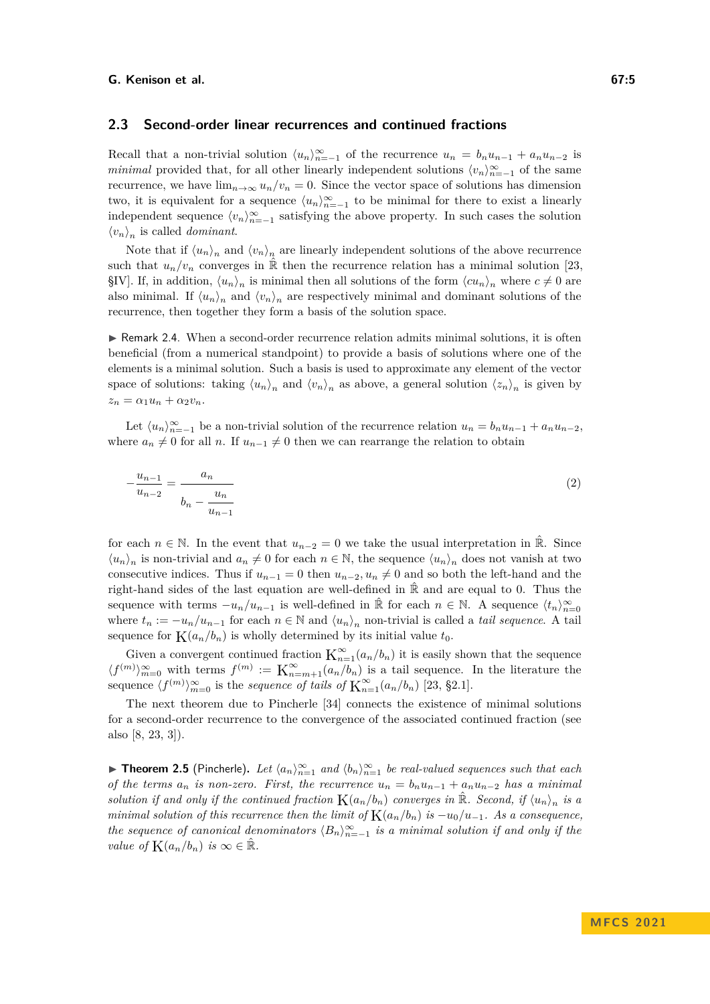## **2.3 Second-order linear recurrences and continued fractions**

Recall that a non-trivial solution  $\langle u_n \rangle_{n=-1}^{\infty}$  of the recurrence  $u_n = b_n u_{n-1} + a_n u_{n-2}$  is *minimal* provided that, for all other linearly independent solutions  $\langle v_n \rangle_{n=-1}^{\infty}$  of the same recurrence, we have  $\lim_{n\to\infty} u_n/v_n = 0$ . Since the vector space of solutions has dimension two, it is equivalent for a sequence  $\langle u_n \rangle_{n=-1}^{\infty}$  to be minimal for there to exist a linearly independent sequence  $\langle v_n \rangle_{n=-1}^{\infty}$  satisfying the above property. In such cases the solution  $\langle v_n \rangle_n$  is called *dominant*.

Note that if  $\langle u_n \rangle_n$  and  $\langle v_n \rangle_n$  are linearly independent solutions of the above recurrence such that  $u_n/v_n$  converges in  $\hat{\mathbb{R}}$  then the recurrence relation has a minimal solution [\[23,](#page-13-11) §IV]. If, in addition,  $\langle u_n \rangle_n$  is minimal then all solutions of the form  $\langle c u_n \rangle_n$  where  $c \neq 0$  are also minimal. If  $\langle u_n \rangle_n$  and  $\langle v_n \rangle_n$  are respectively minimal and dominant solutions of the recurrence, then together they form a basis of the solution space.

 $\triangleright$  Remark 2.4. When a second-order recurrence relation admits minimal solutions, it is often beneficial (from a numerical standpoint) to provide a basis of solutions where one of the elements is a minimal solution. Such a basis is used to approximate any element of the vector space of solutions: taking  $\langle u_n \rangle_n$  and  $\langle v_n \rangle_n$  as above, a general solution  $\langle z_n \rangle_n$  is given by  $z_n = \alpha_1 u_n + \alpha_2 v_n.$ 

Let  $\langle u_n \rangle_{n=-1}^{\infty}$  be a non-trivial solution of the recurrence relation  $u_n = b_n u_{n-1} + a_n u_{n-2}$ , where  $a_n \neq 0$  for all *n*. If  $u_{n-1} \neq 0$  then we can rearrange the relation to obtain

<span id="page-4-1"></span>
$$
-\frac{u_{n-1}}{u_{n-2}} = \frac{a_n}{b_n - \frac{u_n}{u_{n-1}}}
$$
(2)

for each  $n \in \mathbb{N}$ . In the event that  $u_{n-2} = 0$  we take the usual interpretation in  $\mathbb{R}$ . Since  $\langle u_n \rangle_n$  is non-trivial and  $a_n \neq 0$  for each  $n \in \mathbb{N}$ , the sequence  $\langle u_n \rangle_n$  does not vanish at two consecutive indices. Thus if  $u_{n-1} = 0$  then  $u_{n-2}$ ,  $u_n \neq 0$  and so both the left-hand and the right-hand sides of the last equation are well-defined in  $\hat{\mathbb{R}}$  and are equal to 0. Thus the sequence with terms  $-u_n/u_{n-1}$  is well-defined in  $\hat{\mathbb{R}}$  for each  $n \in \mathbb{N}$ . A sequence  $\langle t_n \rangle_{n=0}^{\infty}$ where  $t_n := -u_n/u_{n-1}$  for each  $n \in \mathbb{N}$  and  $\langle u_n \rangle_n$  non-trivial is called a *tail sequence*. A tail sequence for  $K(a_n/b_n)$  is wholly determined by its initial value  $t_0$ .

Given a convergent continued fraction  $K_{n=1}^{\infty}(a_n/b_n)$  it is easily shown that the sequence  $\langle f^{(m)} \rangle_{m=0}^{\infty}$  with terms  $f^{(m)} := \mathbf{K}_{n=m+1}^{\infty}(a_n/b_n)$  is a tail sequence. In the literature the sequence  $\langle f^{(m)} \rangle_{m=0}^{\infty}$  is the *sequence of tails of*  $\mathbf{K}_{n=1}^{\infty}(a_n/b_n)$  [\[23,](#page-13-11) §2.1].

The next theorem due to Pincherle [\[34\]](#page-14-4) connects the existence of minimal solutions for a second-order recurrence to the convergence of the associated continued fraction (see also [\[8,](#page-12-5) [23,](#page-13-11) [3\]](#page-12-8)).

<span id="page-4-0"></span>▶ **Theorem 2.5** (Pincherle). Let  $\langle a_n \rangle_{n=1}^{\infty}$  and  $\langle b_n \rangle_{n=1}^{\infty}$  be real-valued sequences such that each *of the terms*  $a_n$  *is non-zero. First, the recurrence*  $u_n = b_n u_{n-1} + a_n u_{n-2}$  *has a minimal solution if and only if the continued fraction*  $K(a_n/b_n)$  *converges in*  $\hat{\mathbb{R}}$ *. Second, if*  $\langle u_n \rangle_n$  *is a minimal solution of this recurrence then the limit of*  $K(a_n/b_n)$  *is*  $-u_0/u_{-1}$ *. As a consequence, the sequence of canonical denominators*  $\langle B_n \rangle_{n=-1}^{\infty}$  *is a minimal solution if and only if the value of*  $K(a_n/b_n)$  *is*  $\infty \in \mathbb{R}$ *.*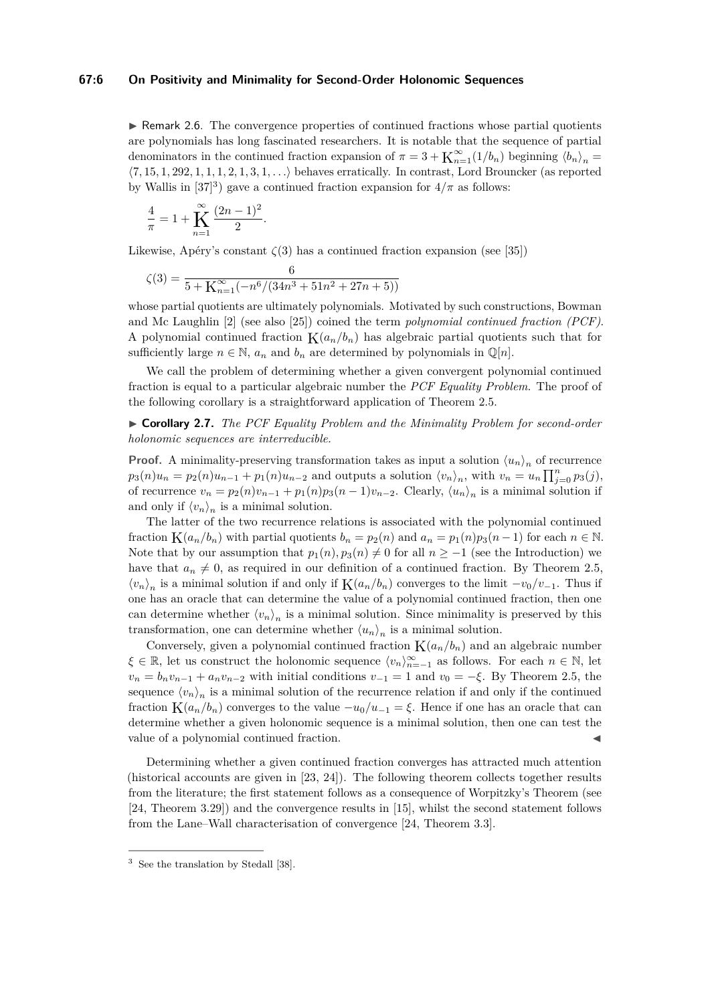#### **67:6 On Positivity and Minimality for Second-Order Holonomic Sequences**

 $\triangleright$  Remark 2.6. The convergence properties of continued fractions whose partial quotients are polynomials has long fascinated researchers. It is notable that the sequence of partial denominators in the continued fraction expansion of  $\pi = 3 + K_{n=1}^{\infty}(1/b_n)$  beginning  $\langle b_n \rangle_n =$ ⟨7*,* 15*,* 1*,* 292*,* 1*,* 1*,* 1*,* 2*,* 1*,* 3*,* 1*, . . .*⟩ behaves erratically. In contrast, Lord Brouncker (as reported by Wallis in  $[37]^3$  $[37]^3$  $[37]^3$ ) gave a continued fraction expansion for  $4/\pi$  as follows:

$$
\frac{4}{\pi} = 1 + \sum_{n=1}^{\infty} \frac{(2n-1)^2}{2}.
$$

Likewise, Apéry's constant  $\zeta(3)$  has a continued fraction expansion (see [\[35\]](#page-14-6))

$$
\zeta(3) = \frac{6}{5 + \mathbf{K}_{n=1}^{\infty}(-n^6/(34n^3 + 51n^2 + 27n + 5))}
$$

whose partial quotients are ultimately polynomials. Motivated by such constructions, Bowman and Mc Laughlin [\[2\]](#page-12-9) (see also [\[25\]](#page-13-13)) coined the term *polynomial continued fraction (PCF)*. A polynomial continued fraction  $K(a_n/b_n)$  has algebraic partial quotients such that for sufficiently large  $n \in \mathbb{N}$ ,  $a_n$  and  $b_n$  are determined by polynomials in  $\mathbb{Q}[n]$ .

We call the problem of determining whether a given convergent polynomial continued fraction is equal to a particular algebraic number the *PCF Equality Problem*. The proof of the following corollary is a straightforward application of [Theorem 2.5.](#page-4-0)

<span id="page-5-1"></span>▶ **Corollary 2.7.** *The PCF Equality Problem and the Minimality Problem for second-order holonomic sequences are interreducible.*

**Proof.** A minimality-preserving transformation takes as input a solution  $\langle u_n \rangle_n$  of recurrence  $p_3(n)u_n = p_2(n)u_{n-1} + p_1(n)u_{n-2}$  and outputs a solution  $\langle v_n \rangle_n$ , with  $v_n = u_n \prod_{j=0}^n p_3(j)$ , of recurrence  $v_n = p_2(n)v_{n-1} + p_1(n)p_3(n-1)v_{n-2}$ . Clearly,  $\langle u_n \rangle_n$  is a minimal solution if and only if  $\langle v_n \rangle_n$  is a minimal solution.

The latter of the two recurrence relations is associated with the polynomial continued fraction  $K(a_n/b_n)$  with partial quotients  $b_n = p_2(n)$  and  $a_n = p_1(n)p_3(n-1)$  for each  $n \in \mathbb{N}$ . Note that by our assumption that  $p_1(n), p_3(n) \neq 0$  for all  $n \geq -1$  (see the Introduction) we have that  $a_n \neq 0$ , as required in our definition of a continued fraction. By [Theorem 2.5,](#page-4-0)  $\langle v_n \rangle_n$  is a minimal solution if and only if  $K(a_n/b_n)$  converges to the limit  $-v_0/v_{-1}$ . Thus if one has an oracle that can determine the value of a polynomial continued fraction, then one can determine whether  $\langle v_n \rangle_n$  is a minimal solution. Since minimality is preserved by this transformation, one can determine whether  $\langle u_n \rangle_n$  is a minimal solution.

Conversely, given a polynomial continued fraction  $K(a_n/b_n)$  and an algebraic number  $\xi \in \mathbb{R}$ , let us construct the holonomic sequence  $\langle v_n \rangle_{n=-1}^{\infty}$  as follows. For each  $n \in \mathbb{N}$ , let  $v_n = b_n v_{n-1} + a_n v_{n-2}$  with initial conditions  $v_{-1} = 1$  and  $v_0 = -\xi$ . By [Theorem 2.5,](#page-4-0) the sequence  $\langle v_n \rangle_n$  is a minimal solution of the recurrence relation if and only if the continued fraction  $K(a_n/b_n)$  converges to the value  $-u_0/u_{-1} = \xi$ . Hence if one has an oracle that can determine whether a given holonomic sequence is a minimal solution, then one can test the value of a polynomial continued fraction.

Determining whether a given continued fraction converges has attracted much attention (historical accounts are given in [\[23,](#page-13-11) [24\]](#page-13-12)). The following theorem collects together results from the literature; the first statement follows as a consequence of Worpitzky's Theorem (see [\[24,](#page-13-12) Theorem 3.29]) and the convergence results in [\[15\]](#page-13-14), whilst the second statement follows from the Lane–Wall characterisation of convergence [\[24,](#page-13-12) Theorem 3.3].

<span id="page-5-0"></span><sup>3</sup> See the translation by Stedall [\[38\]](#page-14-7).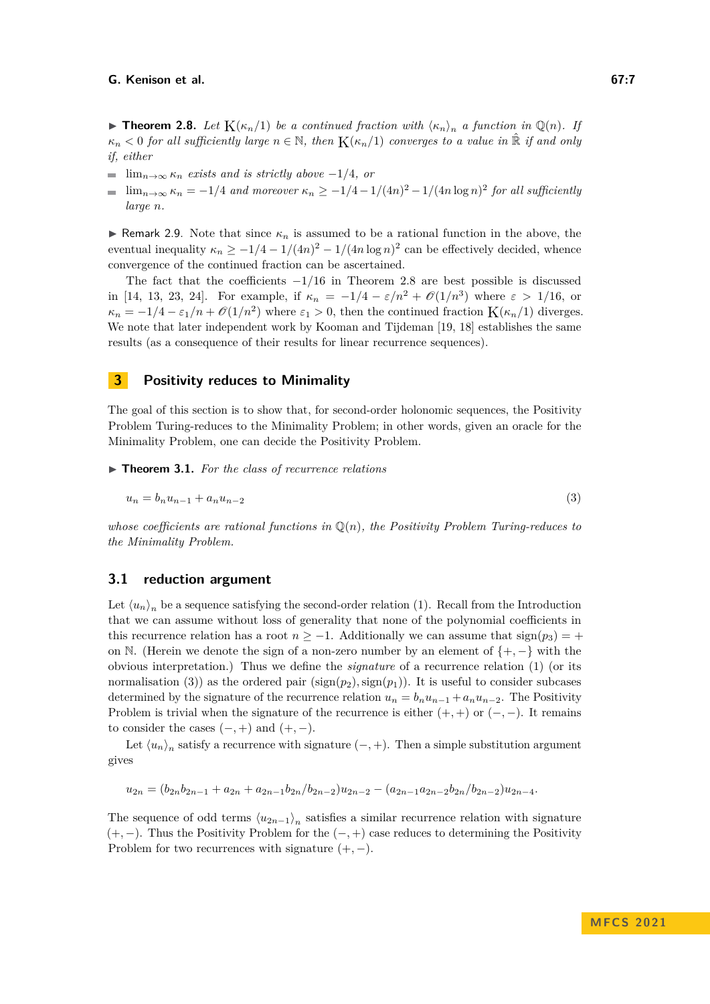<span id="page-6-1"></span>▶ **Theorem 2.8.** Let  $K(\kappa_n/1)$  be a continued fraction with  $\langle \kappa_n \rangle_n$  a function in  $\mathbb{Q}(n)$ *.* If  $\kappa_n < 0$  *for all sufficiently large*  $n \in \mathbb{N}$ *, then*  $K(\kappa_n/1)$  *converges to a value in*  $\mathbb{R}$  *if and only if, either*

- $\blacksquare$  lim<sub>*n*→∞</sub>  $\kappa_n$  *exists and is strictly above* −1/4*, or*
- $\lim_{n\to\infty} \kappa_n = -1/4$  and moreover  $\kappa_n \geq -1/4 1/(4n)^2 1/(4n \log n)^2$  for all sufficiently *large n.*

<span id="page-6-3"></span>**• Remark 2.9.** Note that since  $\kappa_n$  is assumed to be a rational function in the above, the eventual inequality  $\kappa_n \geq -1/4 - 1/(4n)^2 - 1/(4n \log n)^2$  can be effectively decided, whence convergence of the continued fraction can be ascertained.

The fact that the coefficients  $-1/16$  in [Theorem 2.8](#page-6-1) are best possible is discussed in [\[14,](#page-13-15) [13,](#page-13-16) [23,](#page-13-11) [24\]](#page-13-12). For example, if  $\kappa_n = -1/4 - \varepsilon/n^2 + \mathcal{O}(1/n^3)$  where  $\varepsilon > 1/16$ , or  $\kappa_n = -1/4 - \varepsilon_1/n + \mathcal{O}(1/n^2)$  where  $\varepsilon_1 > 0$ , then the continued fraction  $K(\kappa_n/1)$  diverges. We note that later independent work by Kooman and Tijdeman [\[19,](#page-13-17) [18\]](#page-13-18) establishes the same results (as a consequence of their results for linear recurrence sequences).

## **3 Positivity reduces to Minimality**

The goal of this section is to show that, for second-order holonomic sequences, the Positivity Problem Turing-reduces to the Minimality Problem; in other words, given an oracle for the Minimality Problem, one can decide the Positivity Problem.

<span id="page-6-0"></span>▶ **Theorem 3.1.** *For the class of recurrence relations*

<span id="page-6-2"></span>
$$
u_n = b_n u_{n-1} + a_n u_{n-2} \tag{3}
$$

*whose coefficients are rational functions in* Q(*n*)*, the Positivity Problem Turing-reduces to the Minimality Problem.*

## **3.1 reduction argument**

Let  $\langle u_n \rangle_n$  be a sequence satisfying the second-order relation [\(1\)](#page-1-1). Recall from the Introduction that we can assume without loss of generality that none of the polynomial coefficients in this recurrence relation has a root  $n \ge -1$ . Additionally we can assume that  $sign(p_3) = +$ on N. (Herein we denote the sign of a non-zero number by an element of {+*,* −} with the obvious interpretation.) Thus we define the *signature* of a recurrence relation [\(1\)](#page-1-1) (or its normalisation [\(3\)](#page-6-2)) as the ordered pair  $(\text{sign}(p_2), \text{sign}(p_1))$ . It is useful to consider subcases determined by the signature of the recurrence relation  $u_n = b_n u_{n-1} + a_n u_{n-2}$ . The Positivity Problem is trivial when the signature of the recurrence is either  $(+, +)$  or  $(-, -)$ . It remains to consider the cases  $(-, +)$  and  $(+, -)$ .

Let  $\langle u_n \rangle_n$  satisfy a recurrence with signature  $(-, +)$ . Then a simple substitution argument gives

$$
u_{2n} = (b_{2n}b_{2n-1} + a_{2n} + a_{2n-1}b_{2n}/b_{2n-2})u_{2n-2} - (a_{2n-1}a_{2n-2}b_{2n}/b_{2n-2})u_{2n-4}.
$$

The sequence of odd terms  $\langle u_{2n-1} \rangle_n$  satisfies a similar recurrence relation with signature (+*,* −). Thus the Positivity Problem for the (−*,* +) case reduces to determining the Positivity Problem for two recurrences with signature (+*,* −).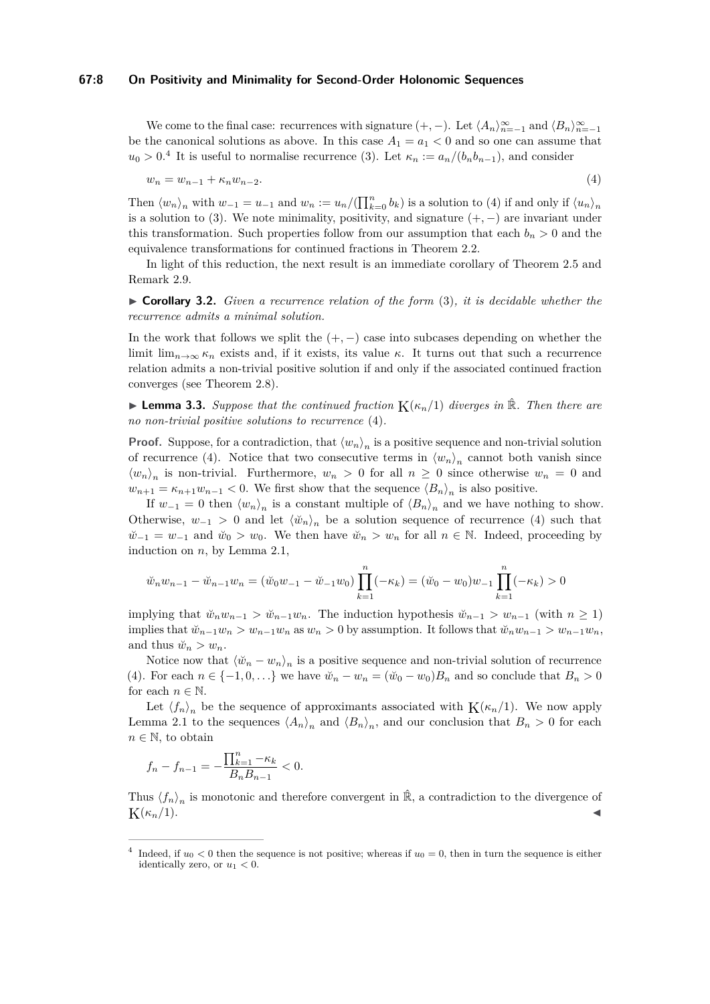#### **67:8 On Positivity and Minimality for Second-Order Holonomic Sequences**

We come to the final case: recurrences with signature  $(+, -)$ . Let  $\langle A_n \rangle_{n=-1}^{\infty}$  and  $\langle B_n \rangle_{n=-1}^{\infty}$ be the canonical solutions as above. In this case  $A_1 = a_1 < 0$  and so one can assume that  $u_0 > 0$ <sup>[4](#page-7-0)</sup>. It is useful to normalise recurrence [\(3\)](#page-6-2). Let  $\kappa_n := a_n/(b_n b_{n-1})$ , and consider

<span id="page-7-1"></span>
$$
w_n = w_{n-1} + \kappa_n w_{n-2}.\tag{4}
$$

Then  $\langle w_n \rangle_n$  with  $w_{-1} = u_{-1}$  and  $w_n := u_n / (\prod_{k=0}^n b_k)$  is a solution to [\(4\)](#page-7-1) if and only if  $\langle u_n \rangle_n$ is a solution to [\(3\)](#page-6-2). We note minimality, positivity, and signature  $(+,-)$  are invariant under this transformation. Such properties follow from our assumption that each  $b_n > 0$  and the equivalence transformations for continued fractions in [Theorem 2.2.](#page-3-1)

In light of this reduction, the next result is an immediate corollary of [Theorem 2.5](#page-4-0) and [Remark 2.9.](#page-6-3)

▶ **Corollary 3.2.** *Given a recurrence relation of the form* [\(3\)](#page-6-2)*, it is decidable whether the recurrence admits a minimal solution.*

In the work that follows we split the  $(+,-)$  case into subcases depending on whether the limit lim<sub>*n*→∞  $\kappa_n$ </sub> exists and, if it exists, its value  $\kappa$ . It turns out that such a recurrence relation admits a non-trivial positive solution if and only if the associated continued fraction converges (see [Theorem 2.8\)](#page-6-1).

<span id="page-7-2"></span> $\blacktriangleright$  **Lemma 3.3.** *Suppose that the continued fraction*  $K(\kappa_n/1)$  *diverges in*  $\hat{\mathbb{R}}$ *. Then there are no non-trivial positive solutions to recurrence* [\(4\)](#page-7-1)*.*

**Proof.** Suppose, for a contradiction, that  $\langle w_n \rangle_n$  is a positive sequence and non-trivial solution of recurrence [\(4\)](#page-7-1). Notice that two consecutive terms in  $\langle w_n \rangle_n$  cannot both vanish since  $\langle w_n \rangle_n$  is non-trivial. Furthermore,  $w_n > 0$  for all  $n \geq 0$  since otherwise  $w_n = 0$  and  $w_{n+1} = \kappa_{n+1} w_{n-1} < 0$ . We first show that the sequence  $\langle B_n \rangle_n$  is also positive.

If  $w_{-1} = 0$  then  $\langle w_n \rangle_n$  is a constant multiple of  $\langle B_n \rangle_n$  and we have nothing to show. Otherwise,  $w_{-1} > 0$  and let  $\langle \psi_n \rangle_n$  be a solution sequence of recurrence [\(4\)](#page-7-1) such that  $\check{w}_{-1} = w_{-1}$  and  $\check{w}_0 > w_0$ . We then have  $\check{w}_n > w_n$  for all  $n \in \mathbb{N}$ . Indeed, proceeding by induction on *n*, by [Lemma 2.1,](#page-3-0)

$$
\check{w}_n w_{n-1} - \check{w}_{n-1} w_n = (\check{w}_0 w_{-1} - \check{w}_{-1} w_0) \prod_{k=1}^n (-\kappa_k) = (\check{w}_0 - w_0) w_{-1} \prod_{k=1}^n (-\kappa_k) > 0
$$

implying that  $\check{w}_n w_{n-1} > \check{w}_{n-1} w_n$ . The induction hypothesis  $\check{w}_{n-1} > w_{n-1}$  (with  $n \geq 1$ ) implies that  $\tilde{w}_{n-1}w_n > w_{n-1}w_n$  as  $w_n > 0$  by assumption. It follows that  $\tilde{w}_nw_{n-1} > w_{n-1}w_n$ , and thus  $\breve{w}_n > w_n$ .

Notice now that  $\langle \check{w}_n - w_n \rangle_n$  is a positive sequence and non-trivial solution of recurrence [\(4\)](#page-7-1). For each  $n \in \{-1, 0, \ldots\}$  we have  $\breve{w}_n - w_n = (\breve{w}_0 - w_0)B_n$  and so conclude that  $B_n > 0$ for each  $n \in \mathbb{N}$ .

Let  $\langle f_n \rangle_n$  be the sequence of approximants associated with  $K(\kappa_n/1)$ . We now apply [Lemma 2.1](#page-3-0) to the sequences  $\langle A_n \rangle_n$  and  $\langle B_n \rangle_n$ , and our conclusion that  $B_n > 0$  for each  $n \in \mathbb{N}$ , to obtain

$$
f_n - f_{n-1} = -\frac{\prod_{k=1}^n -\kappa_k}{B_n B_{n-1}} < 0.
$$

Thus  $\langle f_n \rangle_n$  is monotonic and therefore convergent in  $\hat{\mathbb{R}}$ , a contradiction to the divergence of  $K(\kappa_n/1).$ 

<span id="page-7-0"></span><sup>&</sup>lt;sup>4</sup> Indeed, if  $u_0 < 0$  then the sequence is not positive; whereas if  $u_0 = 0$ , then in turn the sequence is either identically zero, or  $u_1 < 0$ .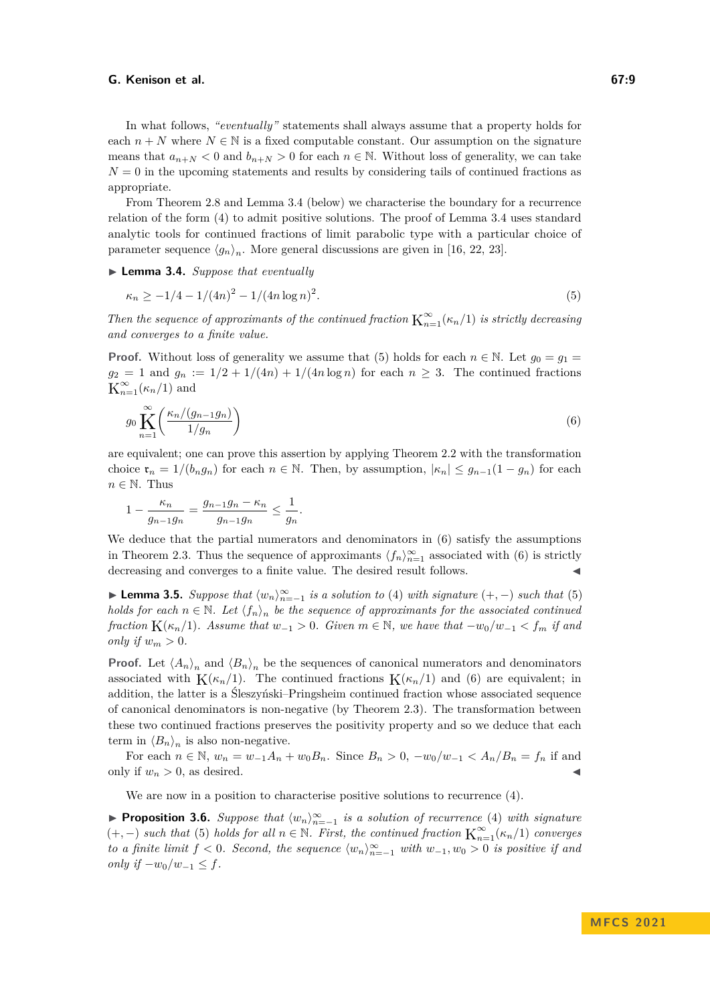In what follows, *"eventually"* statements shall always assume that a property holds for each  $n + N$  where  $N \in \mathbb{N}$  is a fixed computable constant. Our assumption on the signature means that  $a_{n+N} < 0$  and  $b_{n+N} > 0$  for each  $n \in \mathbb{N}$ . Without loss of generality, we can take  $N = 0$  in the upcoming statements and results by considering tails of continued fractions as appropriate.

From [Theorem 2.8](#page-6-1) and [Lemma 3.4](#page-8-0) (below) we characterise the boundary for a recurrence relation of the form [\(4\)](#page-7-1) to admit positive solutions. The proof of [Lemma 3.4](#page-8-0) uses standard analytic tools for continued fractions of limit parabolic type with a particular choice of parameter sequence  $\langle g_n \rangle_n$ . More general discussions are given in [\[16,](#page-13-19) [22,](#page-13-20) [23\]](#page-13-11).

<span id="page-8-0"></span>▶ **Lemma 3.4.** *Suppose that eventually*

<span id="page-8-1"></span>
$$
\kappa_n \ge -1/4 - 1/(4n)^2 - 1/(4n \log n)^2. \tag{5}
$$

*Then the sequence of approximants of the continued fraction*  $K_{n=1}^{\infty}(\kappa_n/1)$  *is strictly decreasing and converges to a finite value.*

**Proof.** Without loss of generality we assume that [\(5\)](#page-8-1) holds for each  $n \in \mathbb{N}$ . Let  $g_0 = g_1 =$  $g_2 = 1$  and  $g_n := \frac{1}{2} + \frac{1}{4n} + \frac{1}{4n \log n}$  for each  $n \geq 3$ . The continued fractions  $K_{n=1}^{\infty}(\kappa_n/1)$  and

<span id="page-8-2"></span>
$$
g_0 \prod_{n=1}^{\infty} \left( \frac{\kappa_n/(g_{n-1}g_n)}{1/g_n} \right) \tag{6}
$$

are equivalent; one can prove this assertion by applying [Theorem 2.2](#page-3-1) with the transformation choice  $\mathfrak{r}_n = 1/(b_n g_n)$  for each  $n \in \mathbb{N}$ . Then, by assumption,  $|\kappa_n| \leq g_{n-1}(1 - g_n)$  for each  $n \in \mathbb{N}$ . Thus

$$
1 - \frac{\kappa_n}{g_{n-1}g_n} = \frac{g_{n-1}g_n - \kappa_n}{g_{n-1}g_n} \le \frac{1}{g_n}.
$$

We deduce that the partial numerators and denominators in  $(6)$  satisfy the assumptions in [Theorem 2.3.](#page-3-2) Thus the sequence of approximants  $\langle f_n \rangle_{n=1}^{\infty}$  associated with [\(6\)](#page-8-2) is strictly decreasing and converges to a finite value. The desired result follows. ◀

<span id="page-8-3"></span>▶ **Lemma 3.5.** *Suppose that*  $\langle w_n \rangle_{n=-1}^{\infty}$  *is a solution to* [\(4\)](#page-7-1) *with signature*  $(+, -)$  *such that* [\(5\)](#page-8-1) *holds for each*  $n \in \mathbb{N}$ . Let  $\langle f_n \rangle_n$  be the sequence of approximants for the associated continued *fraction*  $K(\kappa_n/1)$ *. Assume that*  $w_{-1} > 0$ *. Given*  $m \in \mathbb{N}$ *, we have that*  $-w_0/w_{-1} < f_m$  *if and only if*  $w_m > 0$ .

**Proof.** Let  $\langle A_n \rangle_n$  and  $\langle B_n \rangle_n$  be the sequences of canonical numerators and denominators associated with  $K(\kappa_n/1)$ . The continued fractions  $K(\kappa_n/1)$  and [\(6\)](#page-8-2) are equivalent; in addition, the latter is a Śleszyński–Pringsheim continued fraction whose associated sequence of canonical denominators is non-negative (by [Theorem 2.3\)](#page-3-2). The transformation between these two continued fractions preserves the positivity property and so we deduce that each term in  $\langle B_n \rangle_n$  is also non-negative.

For each  $n \in \mathbb{N}$ ,  $w_n = w_{-1}A_n + w_0B_n$ . Since  $B_n > 0$ ,  $-w_0/w_{-1} < A_n/B_n = f_n$  if and only if  $w_n > 0$ , as desired.

We are now in a position to characterise positive solutions to recurrence  $(4)$ .

<span id="page-8-4"></span>▶ **Proposition 3.6.** Suppose that  $\langle w_n \rangle_{n=-1}^{\infty}$  is a solution of recurrence [\(4\)](#page-7-1) with signature  $(+,-)$  *such that* [\(5\)](#page-8-1) *holds for all*  $n \in \mathbb{N}$ *. First, the continued fraction*  $\mathbf{K}_{n=1}^{\infty}(\kappa_n/1)$  *converges to a finite limit*  $f < 0$ *. Second, the sequence*  $\langle w_n \rangle_{n=-1}^{\infty}$  *with*  $w_{-1}, w_0 > 0$  *is positive if and only if*  $-w_0/w_{-1} \leq f$ .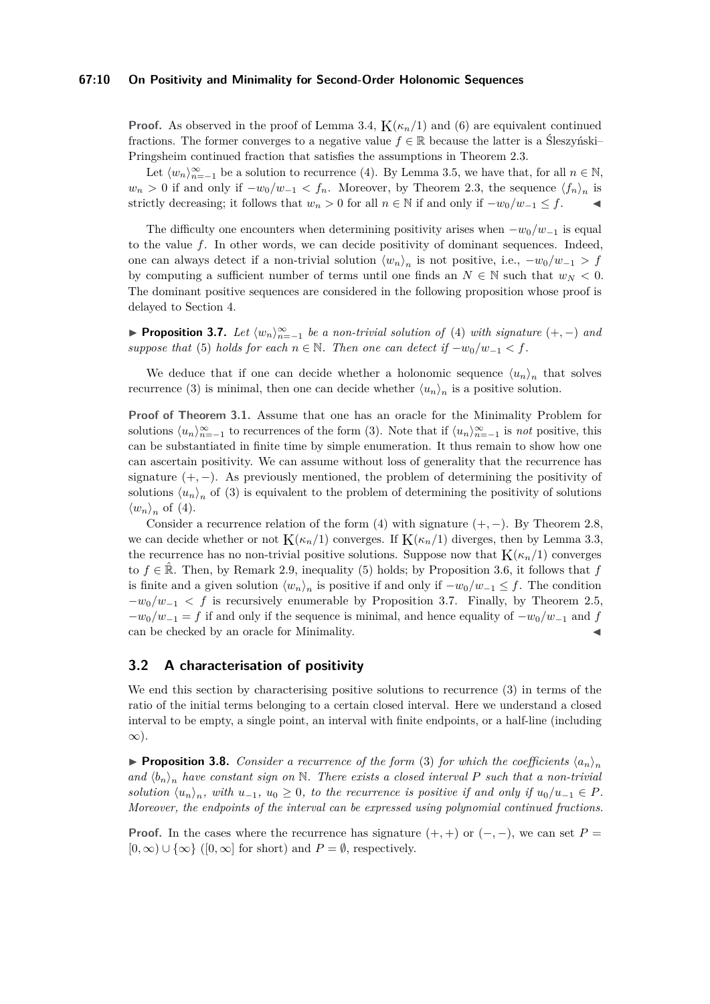#### **67:10 On Positivity and Minimality for Second-Order Holonomic Sequences**

**Proof.** As observed in the proof of [Lemma 3.4,](#page-8-0)  $K(\kappa_n/1)$  and [\(6\)](#page-8-2) are equivalent continued fractions. The former converges to a negative value  $f \in \mathbb{R}$  because the latter is a Śleszyński– Pringsheim continued fraction that satisfies the assumptions in [Theorem 2.3.](#page-3-2)

Let  $\langle w_n \rangle_{n=-1}^{\infty}$  be a solution to recurrence [\(4\)](#page-7-1). By [Lemma 3.5,](#page-8-3) we have that, for all  $n \in \mathbb{N}$ ,  $w_n > 0$  if and only if  $-w_0/w_{-1} < f_n$ . Moreover, by [Theorem 2.3,](#page-3-2) the sequence  $\langle f_n \rangle_n$  is strictly decreasing; it follows that  $w_n > 0$  for all  $n \in \mathbb{N}$  if and only if  $-w_0/w_{-1} \leq f$ .

The difficulty one encounters when determining positivity arises when  $-w_0/w_{-1}$  is equal to the value *f*. In other words, we can decide positivity of dominant sequences. Indeed, one can always detect if a non-trivial solution  $\langle w_n \rangle_n$  is not positive, i.e.,  $-w_0/w_{-1} > f$ by computing a sufficient number of terms until one finds an  $N \in \mathbb{N}$  such that  $w_N < 0$ . The dominant positive sequences are considered in the following proposition whose proof is delayed to [Section 4.](#page-10-0)

<span id="page-9-0"></span>▶ **Proposition 3.7.** *Let*  $\langle w_n \rangle_{n=-1}^{\infty}$  *be a non-trivial solution of* [\(4\)](#page-7-1) *with signature*  $(+, -)$  *and suppose that* [\(5\)](#page-8-1) *holds for each*  $n \in \mathbb{N}$ *. Then one can detect if*  $-w_0/w_{-1} < f$ *.* 

We deduce that if one can decide whether a holonomic sequence  $\langle u_n \rangle_n$  that solves recurrence [\(3\)](#page-6-2) is minimal, then one can decide whether  $\langle u_n \rangle_n$  is a positive solution.

**Proof of [Theorem 3.1.](#page-6-0)** Assume that one has an oracle for the Minimality Problem for solutions  $\langle u_n \rangle_{n=-1}^{\infty}$  to recurrences of the form [\(3\)](#page-6-2). Note that if  $\langle u_n \rangle_{n=-1}^{\infty}$  is *not* positive, this can be substantiated in finite time by simple enumeration. It thus remain to show how one can ascertain positivity. We can assume without loss of generality that the recurrence has signature  $(+,-)$ . As previously mentioned, the problem of determining the positivity of solutions  $\langle u_n \rangle_n$  of [\(3\)](#page-6-2) is equivalent to the problem of determining the positivity of solutions  $\langle w_n \rangle_n$  of [\(4\)](#page-7-1).

Consider a recurrence relation of the form  $(4)$  with signature  $(+,-)$ . By [Theorem 2.8,](#page-6-1) we can decide whether or not  $K(\kappa_n/1)$  converges. If  $K(\kappa_n/1)$  diverges, then by [Lemma 3.3,](#page-7-2) the recurrence has no non-trivial positive solutions. Suppose now that  $K(\kappa_n/1)$  converges to  $f \in \mathbb{R}$ . Then, by [Remark 2.9,](#page-6-3) inequality [\(5\)](#page-8-1) holds; by [Proposition 3.6,](#page-8-4) it follows that  $f$ is finite and a given solution  $\langle w_n \rangle_n$  is positive if and only if  $-w_0/w_{-1} \leq f$ . The condition  $-w_0/w_{-1} < f$  is recursively enumerable by [Proposition 3.7.](#page-9-0) Finally, by [Theorem 2.5,](#page-4-0)  $-w_0/w_{-1} = f$  if and only if the sequence is minimal, and hence equality of  $-w_0/w_{-1}$  and *f* can be checked by an oracle for Minimality.

## **3.2 A characterisation of positivity**

We end this section by characterising positive solutions to recurrence [\(3\)](#page-6-2) in terms of the ratio of the initial terms belonging to a certain closed interval. Here we understand a closed interval to be empty, a single point, an interval with finite endpoints, or a half-line (including ∞).

**• Proposition 3.8.** *Consider a recurrence of the form* [\(3\)](#page-6-2) *for which the coefficients*  $\langle a_n \rangle_n$ and  $\langle b_n \rangle_n$  have constant sign on N. There exists a closed interval P such that a non-trivial *solution*  $\langle u_n \rangle_n$ , with  $u_{-1}$ ,  $u_0 \geq 0$ , to the recurrence is positive if and only if  $u_0/u_{-1} \in P$ . *Moreover, the endpoints of the interval can be expressed using polynomial continued fractions.*

**Proof.** In the cases where the recurrence has signature  $(+, +)$  or  $(-, -)$ , we can set  $P =$  $[0, \infty) \cup {\infty}$  ([0,  $\infty$ ] for short) and  $P = \emptyset$ , respectively.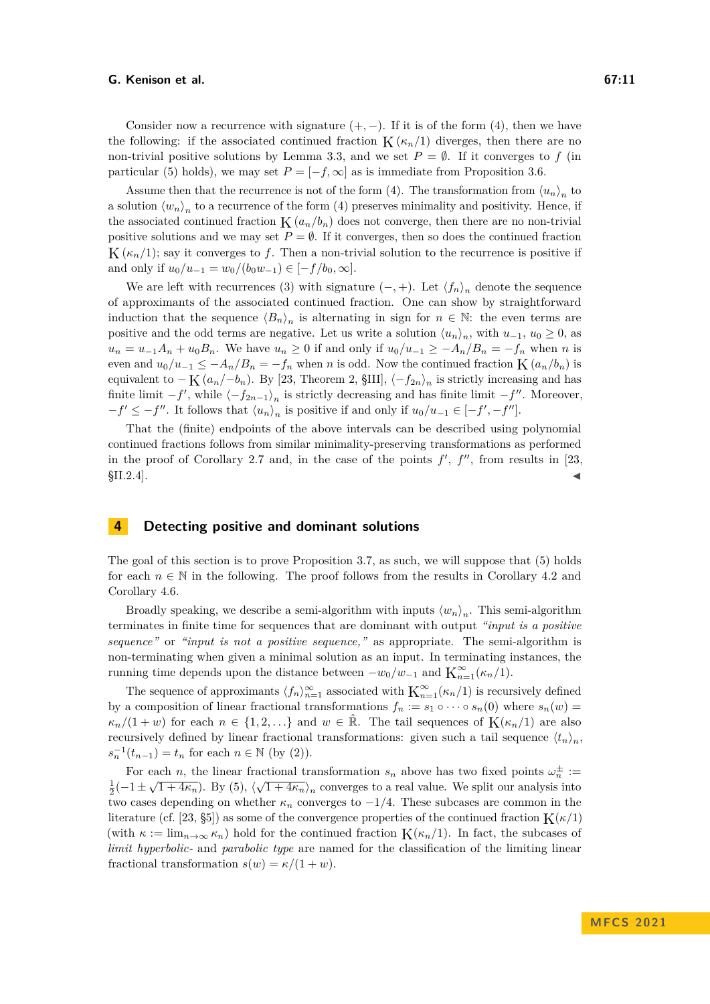Consider now a recurrence with signature  $(+, -)$ . If it is of the form [\(4\)](#page-7-1), then we have the following: if the associated continued fraction  $K(\kappa_n/1)$  diverges, then there are no non-trivial positive solutions by [Lemma 3.3,](#page-7-2) and we set  $P = \emptyset$ . If it converges to f (in particular [\(5\)](#page-8-1) holds), we may set  $P = [-f, \infty]$  as is immediate from [Proposition 3.6.](#page-8-4)

Assume then that the recurrence is not of the form [\(4\)](#page-7-1). The transformation from  $\langle u_n \rangle_n$  to a solution  $\langle w_n \rangle_n$  to a recurrence of the form [\(4\)](#page-7-1) preserves minimality and positivity. Hence, if the associated continued fraction  $K(a_n/b_n)$  does not converge, then there are no non-trivial positive solutions and we may set  $P = \emptyset$ . If it converges, then so does the continued fraction  $K(\kappa_n/1)$ ; say it converges to f. Then a non-trivial solution to the recurrence is positive if and only if  $u_0/u_{-1} = w_0/(b_0w_{-1}) \in [-f/b_0, \infty]$ .

We are left with recurrences [\(3\)](#page-6-2) with signature  $(-, +)$ . Let  $\langle f_n \rangle_n$  denote the sequence of approximants of the associated continued fraction. One can show by straightforward induction that the sequence  $\langle B_n \rangle_n$  is alternating in sign for  $n \in \mathbb{N}$ : the even terms are positive and the odd terms are negative. Let us write a solution  $\langle u_n \rangle_n$ , with  $u_{-1}$ ,  $u_0 \ge 0$ , as  $u_n = u_{-1}A_n + u_0B_n$ . We have  $u_n \geq 0$  if and only if  $u_0/u_{-1} \geq -A_n/B_n = -f_n$  when *n* is even and  $u_0/u_{-1} \leq -A_n/B_n = -f_n$  when *n* is odd. Now the continued fraction  $K(a_n/b_n)$  is equivalent to  $-K(a_n/-b_n)$ . By [\[23,](#page-13-11) Theorem 2, §III],  $\langle -f_{2n} \rangle_n$  is strictly increasing and has finite limit  $-f'$ , while  $\langle -f_{2n-1} \rangle_n$  is strictly decreasing and has finite limit  $-f''$ . Moreover,  $-f' \leq -f''$ . It follows that  $\langle u_n \rangle_n$  is positive if and only if  $u_0/u_{-1} \in [-f', -f'']$ .

That the (finite) endpoints of the above intervals can be described using polynomial continued fractions follows from similar minimality-preserving transformations as performed in the proof of [Corollary 2.7](#page-5-1) and, in the case of the points  $f'$ ,  $f''$ , from results in [\[23,](#page-13-11)  $$II.2.4$ ].

### <span id="page-10-0"></span>**4 Detecting positive and dominant solutions**

The goal of this section is to prove [Proposition 3.7,](#page-9-0) as such, we will suppose that [\(5\)](#page-8-1) holds for each  $n \in \mathbb{N}$  in the following. The proof follows from the results in [Corollary 4.2](#page-11-0) and [Corollary 4.6.](#page-12-10)

Broadly speaking, we describe a semi-algorithm with inputs  $\langle w_n \rangle_n$ . This semi-algorithm terminates in finite time for sequences that are dominant with output *"input is a positive sequence"* or *"input is not a positive sequence,"* as appropriate. The semi-algorithm is non-terminating when given a minimal solution as an input. In terminating instances, the running time depends upon the distance between  $-w_0/w_{-1}$  and  $\mathbf{K}_{n=1}^{\infty}(\kappa_n/1)$ .

The sequence of approximants  $\langle f_n \rangle_{n=1}^{\infty}$  associated with  $\mathcal{K}_{n=1}^{\infty}(\kappa_n/1)$  is recursively defined by a composition of linear fractional transformations  $f_n := s_1 \circ \cdots \circ s_n(0)$  where  $s_n(w) =$  $\kappa_n/(1+w)$  for each  $n \in \{1,2,\ldots\}$  and  $w \in \mathbb{R}$ . The tail sequences of  $K(\kappa_n/1)$  are also recursively defined by linear fractional transformations: given such a tail sequence  $\langle t_n \rangle_n$ ,  $s_n^{-1}(t_{n-1}) = t_n$  for each  $n \in \mathbb{N}$  (by [\(2\)](#page-4-1)).

For each *n*, the linear fractional transformation  $s_n$  above has two fixed points  $\omega_n^{\pm} :=$  $\frac{1}{2}(-1 \pm \sqrt{1+4\kappa_n})$ . By [\(5\)](#page-8-1),  $\langle \sqrt{1+4\kappa_n} \rangle_n$  converges to a real value. We split our analysis into two cases depending on whether  $\kappa_n$  converges to  $-1/4$ . These subcases are common in the literature (cf. [\[23,](#page-13-11) §5]) as some of the convergence properties of the continued fraction  $K(\kappa/1)$ (with  $\kappa := \lim_{n \to \infty} \kappa_n$ ) hold for the continued fraction  $K(\kappa_n/1)$ . In fact, the subcases of *limit hyperbolic-* and *parabolic type* are named for the classification of the limiting linear fractional transformation  $s(w) = \kappa/(1+w)$ .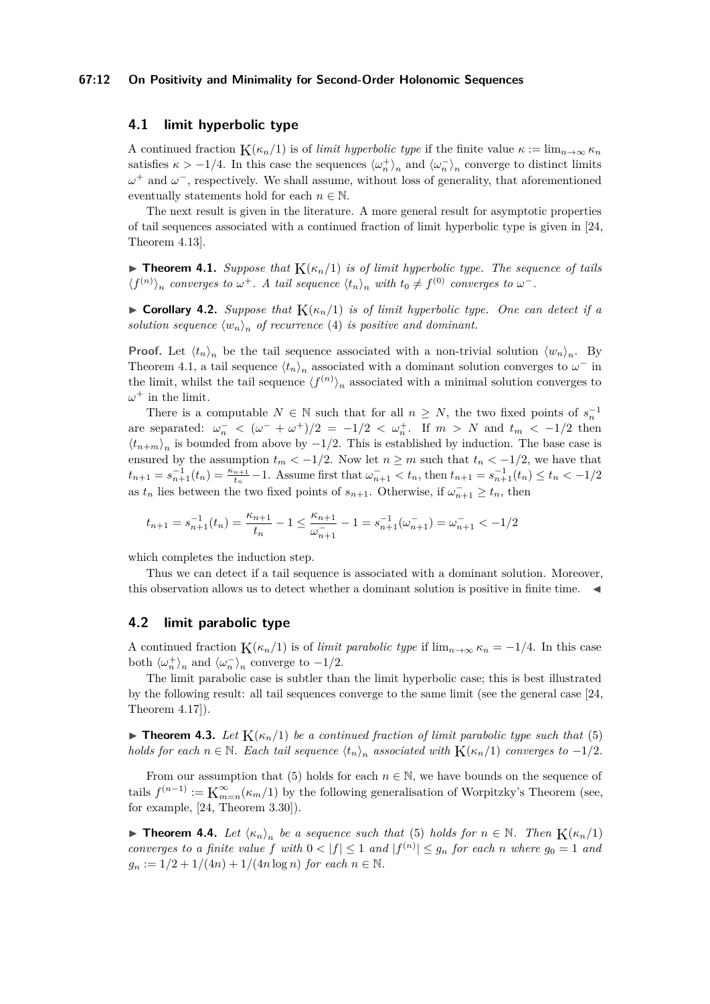#### **67:12 On Positivity and Minimality for Second-Order Holonomic Sequences**

# **4.1 limit hyperbolic type**

A continued fraction  $K(\kappa_n/1)$  is of *limit hyperbolic type* if the finite value  $\kappa := \lim_{n \to \infty} \kappa_n$ satisfies  $\kappa > -1/4$ . In this case the sequences  $\langle \omega_n^+ \rangle_n$  and  $\langle \omega_n^- \rangle_n$  converge to distinct limits *ω*<sup>+</sup> and *ω*<sup>-</sup>, respectively. We shall assume, without loss of generality, that aforementioned eventually statements hold for each  $n \in \mathbb{N}$ .

The next result is given in the literature. A more general result for asymptotic properties of tail sequences associated with a continued fraction of limit hyperbolic type is given in [\[24,](#page-13-12) Theorem 4.13].

<span id="page-11-1"></span> $\triangleright$  **Theorem 4.1.** *Suppose that*  $K(\kappa_n/1)$  *is of limit hyperbolic type. The sequence of tails*  $\langle f^{(n)} \rangle_n$  *converges to*  $\omega^+$ *. A tail sequence*  $\langle t_n \rangle_n$  *with*  $t_0 \neq f^{(0)}$  *converges to*  $\omega^-$ *.* 

<span id="page-11-0"></span>**• Corollary 4.2.** *Suppose that*  $K(\kappa_n/1)$  *is of limit hyperbolic type. One can detect if a solution sequence*  $\langle w_n \rangle_n$  *of recurrence* [\(4\)](#page-7-1) *is positive and dominant.* 

**Proof.** Let  $\langle t_n \rangle_n$  be the tail sequence associated with a non-trivial solution  $\langle w_n \rangle_n$ . By [Theorem 4.1,](#page-11-1) a tail sequence  $\langle t_n \rangle_n$  associated with a dominant solution converges to  $\omega^-$  in the limit, whilst the tail sequence  $\langle f^{(n)} \rangle_n$  associated with a minimal solution converges to  $\omega^+$  in the limit.

There is a computable  $N \in \mathbb{N}$  such that for all  $n \geq N$ , the two fixed points of  $s_n^{-1}$ are separated:  $\omega_n^-$  <  $(\omega^- + \omega^+)/2 = -1/2 < \omega_n^+$ . If  $m > N$  and  $t_m < -1/2$  then  $\langle t_{n+m} \rangle_n$  is bounded from above by  $-1/2$ . This is established by induction. The base case is ensured by the assumption  $t_m < -1/2$ . Now let  $n \geq m$  such that  $t_n < -1/2$ , we have that  $t_{n+1} = s_{n+1}^{-1}(t_n) = \frac{\kappa_{n+1}}{t_n} - 1$ . Assume first that  $\omega_{n+1}^- < t_n$ , then  $t_{n+1} = s_{n+1}^{-1}(t_n) \le t_n < -1/2$ as  $t_n$  lies between the two fixed points of  $s_{n+1}$ . Otherwise, if  $\omega_{n+1}^- \geq t_n$ , then

$$
t_{n+1} = s_{n+1}^{-1}(t_n) = \frac{\kappa_{n+1}}{t_n} - 1 \le \frac{\kappa_{n+1}}{\omega_{n+1}^-} - 1 = s_{n+1}^{-1}(\omega_{n+1}^-) = \omega_{n+1}^- < -1/2
$$

which completes the induction step.

Thus we can detect if a tail sequence is associated with a dominant solution. Moreover, this observation allows us to detect whether a dominant solution is positive in finite time.  $\blacktriangleleft$ 

## **4.2 limit parabolic type**

A continued fraction  $K(\kappa_n/1)$  is of *limit parabolic type* if  $\lim_{n\to\infty} \kappa_n = -1/4$ . In this case both  $\langle \omega_n^+ \rangle_n$  and  $\langle \omega_n^- \rangle_n$  converge to  $-1/2$ .

The limit parabolic case is subtler than the limit hyperbolic case; this is best illustrated by the following result: all tail sequences converge to the same limit (see the general case [\[24,](#page-13-12) Theorem 4.17]).

 $\blacktriangleright$  **Theorem 4.3.** Let  $K(\kappa_n/1)$  be a continued fraction of limit parabolic type such that [\(5\)](#page-8-1) *holds for each*  $n \in \mathbb{N}$ *. Each tail sequence*  $\langle t_n \rangle_n$  *associated with*  $K(\kappa_n/1)$  *converges to* −1/2*.* 

From our assumption that [\(5\)](#page-8-1) holds for each  $n \in \mathbb{N}$ , we have bounds on the sequence of tails  $f^{(n-1)} := \mathbf{K}_m^{\infty}$  $\sum_{m=n}^{\infty}$  (*k<sub>m</sub>*/1) by the following generalisation of Worpitzky's Theorem (see, for example, [\[24,](#page-13-12) Theorem 3.30]).

<span id="page-11-2"></span>▶ **Theorem 4.4.** *Let*  $\langle \kappa_n \rangle_n$  *be a sequence such that* [\(5\)](#page-8-1) *holds for*  $n \in \mathbb{N}$ *. Then*  $K(\kappa_n/1)$ *converges to a finite value*  $f$  *with*  $0 < |f| \leq 1$  *and*  $|f^{(n)}| \leq g_n$  *for each n where*  $g_0 = 1$  *and*  $g_n := 1/2 + 1/(4n) + 1/(4n \log n)$  *for each*  $n \in \mathbb{N}$ *.*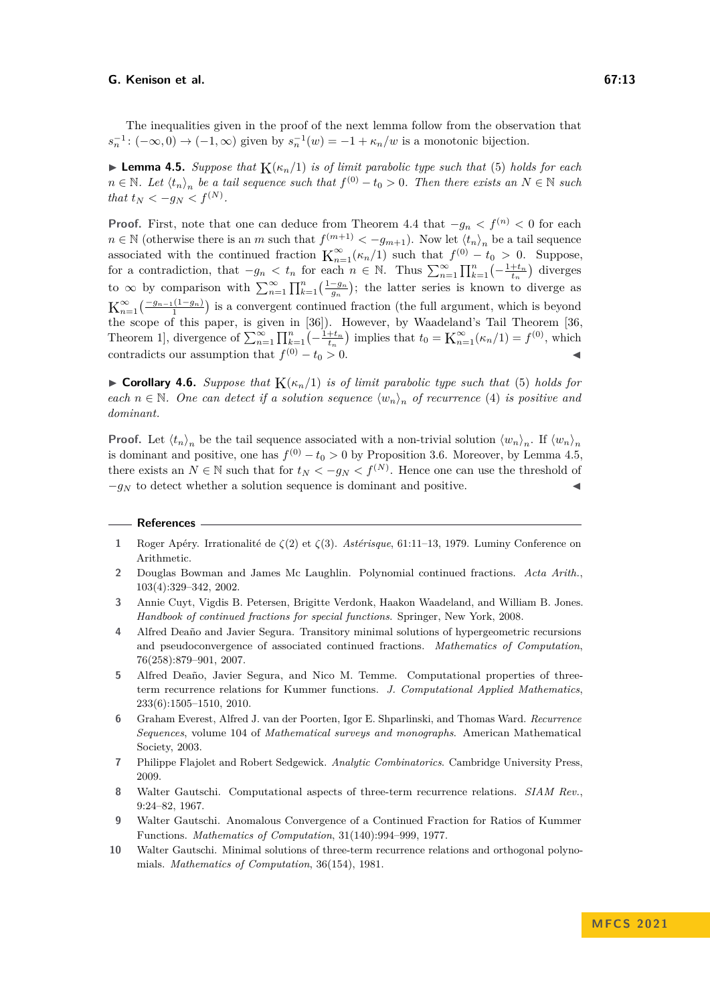The inequalities given in the proof of the next lemma follow from the observation that  $s_n^{-1}$ :  $(-\infty, 0) \to (-1, \infty)$  given by  $s_n^{-1}(w) = -1 + \kappa_n/w$  is a monotonic bijection.

<span id="page-12-11"></span> $\blacktriangleright$  **Lemma 4.5.** *Suppose that*  $K(\kappa_n/1)$  *is of limit parabolic type such that* [\(5\)](#page-8-1) *holds for each n* ∈ N*.* Let  $\langle t_n \rangle_n$  be a tail sequence such that  $f^{(0)} - t_0 > 0$ . Then there exists an  $N \in \mathbb{N}$  such *that*  $t_N < -g_N < f^{(N)}$ .

**Proof.** First, note that one can deduce from [Theorem 4.4](#page-11-2) that  $-g_n < f^{(n)} < 0$  for each *n* ∈ N (otherwise there is an *m* such that  $f^{(m+1)} < -g_{m+1}$ ). Now let  $\langle t_n \rangle$ <sub>n</sub> be a tail sequence associated with the continued fraction  $K_{n=1}^{\infty}(\kappa_n/1)$  such that  $f^{(0)} - t_0 > 0$ . Suppose, for a contradiction, that  $-g_n < t_n$  for each  $n \in \mathbb{N}$ . Thus  $\sum_{n=1}^{\infty} \prod_{k=1}^{n} \left(-\frac{1+t_n}{t_n}\right)$  diverges to  $\infty$  by comparison with  $\sum_{n=1}^{\infty} \prod_{k=1}^{n} \left(\frac{1-g_n}{g_n}\right)$ ; the latter series is known to diverge as  $\mathcal{K}_{n=1}^{\infty}(\frac{-g_{n-1}(1-g_n)}{1})$  is a convergent continued fraction (the full argument, which is beyond the scope of this paper, is given in [\[36\]](#page-14-8)). However, by Waadeland's Tail Theorem [\[36,](#page-14-8) Theorem 1], divergence of  $\sum_{n=1}^{\infty} \prod_{k=1}^{n} \left(-\frac{1+t_n}{t_n}\right)$  implies that  $t_0 = \mathbf{K}_{n=1}^{\infty} (\kappa_n/1) = f^{(0)}$ , which contradicts our assumption that  $f^{(0)} - t_0 > 0$ . (0) − *t*<sup>0</sup> *>* 0. ◀

<span id="page-12-10"></span> $\triangleright$  **Corollary 4.6.** *Suppose that*  $K(\kappa_n/1)$  *is of limit parabolic type such that* [\(5\)](#page-8-1) *holds for each*  $n \in \mathbb{N}$ . One can detect if a solution sequence  $\langle w_n \rangle_n$  of recurrence [\(4\)](#page-7-1) is positive and *dominant.*

**Proof.** Let  $\langle t_n \rangle_n$  be the tail sequence associated with a non-trivial solution  $\langle w_n \rangle_n$ . If  $\langle w_n \rangle_n$ is dominant and positive, one has  $f^{(0)} - t_0 > 0$  by [Proposition 3.6.](#page-8-4) Moreover, by [Lemma 4.5,](#page-12-11) there exists an  $N \in \mathbb{N}$  such that for  $t_N < -g_N < f^{(N)}$ . Hence one can use the threshold of  $-g_N$  to detect whether a solution sequence is dominant and positive.

#### **References**

- <span id="page-12-2"></span>**1** Roger Apéry. Irrationalité de *ζ*(2) et *ζ*(3). *Astérisque*, 61:11–13, 1979. Luminy Conference on Arithmetic.
- <span id="page-12-9"></span>**2** Douglas Bowman and James Mc Laughlin. Polynomial continued fractions. *Acta Arith.*, 103(4):329–342, 2002.
- <span id="page-12-8"></span>**3** Annie Cuyt, Vigdis B. Petersen, Brigitte Verdonk, Haakon Waadeland, and William B. Jones. *Handbook of continued fractions for special functions*. Springer, New York, 2008.
- <span id="page-12-3"></span>**4** Alfred Deaño and Javier Segura. Transitory minimal solutions of hypergeometric recursions and pseudoconvergence of associated continued fractions. *Mathematics of Computation*, 76(258):879–901, 2007.
- <span id="page-12-4"></span>**5** Alfred Deaño, Javier Segura, and Nico M. Temme. Computational properties of threeterm recurrence relations for Kummer functions. *J. Computational Applied Mathematics*, 233(6):1505–1510, 2010.
- <span id="page-12-0"></span>**6** Graham Everest, Alfred J. van der Poorten, Igor E. Shparlinski, and Thomas Ward. *Recurrence Sequences*, volume 104 of *Mathematical surveys and monographs*. American Mathematical Society, 2003.
- <span id="page-12-1"></span>**7** Philippe Flajolet and Robert Sedgewick. *Analytic Combinatorics*. Cambridge University Press, 2009.
- <span id="page-12-5"></span>**8** Walter Gautschi. Computational aspects of three-term recurrence relations. *SIAM Rev.*, 9:24–82, 1967.
- <span id="page-12-6"></span>**9** Walter Gautschi. Anomalous Convergence of a Continued Fraction for Ratios of Kummer Functions. *Mathematics of Computation*, 31(140):994–999, 1977.
- <span id="page-12-7"></span>**10** Walter Gautschi. Minimal solutions of three-term recurrence relations and orthogonal polynomials. *Mathematics of Computation*, 36(154), 1981.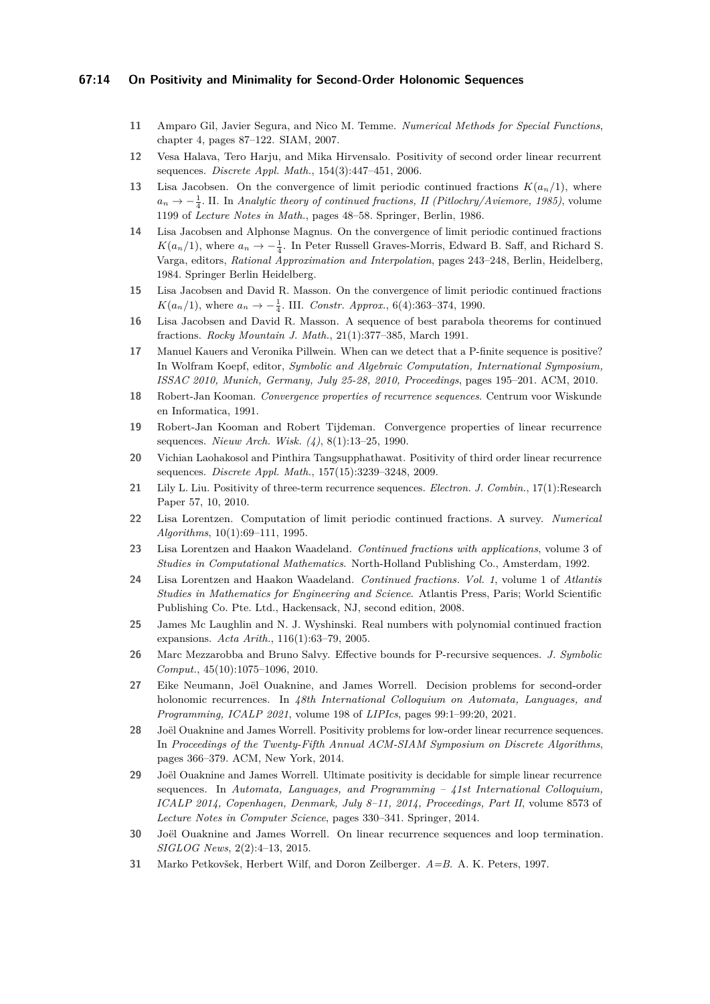### **67:14 On Positivity and Minimality for Second-Order Holonomic Sequences**

- <span id="page-13-10"></span>**11** Amparo Gil, Javier Segura, and Nico M. Temme. *Numerical Methods for Special Functions*, chapter 4, pages 87–122. SIAM, 2007.
- <span id="page-13-4"></span>**12** Vesa Halava, Tero Harju, and Mika Hirvensalo. Positivity of second order linear recurrent sequences. *Discrete Appl. Math.*, 154(3):447–451, 2006.
- <span id="page-13-16"></span>13 Lisa Jacobsen. On the convergence of limit periodic continued fractions  $K(a_n/1)$ , where  $a_n \to -\frac{1}{4}$ . II. In *Analytic theory of continued fractions, II (Pitlochry/Aviemore, 1985), volume* 1199 of *Lecture Notes in Math.*, pages 48–58. Springer, Berlin, 1986.
- <span id="page-13-15"></span>**14** Lisa Jacobsen and Alphonse Magnus. On the convergence of limit periodic continued fractions  $K(a_n/1)$ , where  $a_n \to -\frac{1}{4}$ . In Peter Russell Graves-Morris, Edward B. Saff, and Richard S. Varga, editors, *Rational Approximation and Interpolation*, pages 243–248, Berlin, Heidelberg, 1984. Springer Berlin Heidelberg.
- <span id="page-13-14"></span>**15** Lisa Jacobsen and David R. Masson. On the convergence of limit periodic continued fractions  $K(a_n/1)$ , where  $a_n \to -\frac{1}{4}$ . III. *Constr. Approx.*, 6(4):363–374, 1990.
- <span id="page-13-19"></span>**16** Lisa Jacobsen and David R. Masson. A sequence of best parabola theorems for continued fractions. *Rocky Mountain J. Math.*, 21(1):377–385, March 1991.
- <span id="page-13-1"></span>**17** Manuel Kauers and Veronika Pillwein. When can we detect that a P-finite sequence is positive? In Wolfram Koepf, editor, *Symbolic and Algebraic Computation, International Symposium, ISSAC 2010, Munich, Germany, July 25-28, 2010, Proceedings*, pages 195–201. ACM, 2010.
- <span id="page-13-18"></span>**18** Robert-Jan Kooman. *Convergence properties of recurrence sequences*. Centrum voor Wiskunde en Informatica, 1991.
- <span id="page-13-17"></span>**19** Robert-Jan Kooman and Robert Tijdeman. Convergence properties of linear recurrence sequences. *Nieuw Arch. Wisk. (4)*, 8(1):13–25, 1990.
- <span id="page-13-5"></span>**20** Vichian Laohakosol and Pinthira Tangsupphathawat. Positivity of third order linear recurrence sequences. *Discrete Appl. Math.*, 157(15):3239–3248, 2009.
- <span id="page-13-7"></span>**21** Lily L. Liu. Positivity of three-term recurrence sequences. *Electron. J. Combin.*, 17(1):Research Paper 57, 10, 2010.
- <span id="page-13-20"></span>**22** Lisa Lorentzen. Computation of limit periodic continued fractions. A survey. *Numerical Algorithms*, 10(1):69–111, 1995.
- <span id="page-13-11"></span>**23** Lisa Lorentzen and Haakon Waadeland. *Continued fractions with applications*, volume 3 of *Studies in Computational Mathematics*. North-Holland Publishing Co., Amsterdam, 1992.
- <span id="page-13-12"></span>**24** Lisa Lorentzen and Haakon Waadeland. *Continued fractions. Vol. 1*, volume 1 of *Atlantis Studies in Mathematics for Engineering and Science*. Atlantis Press, Paris; World Scientific Publishing Co. Pte. Ltd., Hackensack, NJ, second edition, 2008.
- <span id="page-13-13"></span>**25** James Mc Laughlin and N. J. Wyshinski. Real numbers with polynomial continued fraction expansions. *Acta Arith.*, 116(1):63–79, 2005.
- <span id="page-13-8"></span>**26** Marc Mezzarobba and Bruno Salvy. Effective bounds for P-recursive sequences. *J. Symbolic Comput.*, 45(10):1075–1096, 2010.
- <span id="page-13-9"></span>**27** Eike Neumann, Joël Ouaknine, and James Worrell. Decision problems for second-order holonomic recurrences. In *48th International Colloquium on Automata, Languages, and Programming, ICALP 2021*, volume 198 of *LIPIcs*, pages 99:1–99:20, 2021.
- <span id="page-13-2"></span>**28** Joël Ouaknine and James Worrell. Positivity problems for low-order linear recurrence sequences. In *Proceedings of the Twenty-Fifth Annual ACM-SIAM Symposium on Discrete Algorithms*, pages 366–379. ACM, New York, 2014.
- <span id="page-13-6"></span>**29** Joël Ouaknine and James Worrell. Ultimate positivity is decidable for simple linear recurrence sequences. In *Automata, Languages, and Programming – 41st International Colloquium, ICALP 2014, Copenhagen, Denmark, July 8–11, 2014, Proceedings, Part II*, volume 8573 of *Lecture Notes in Computer Science*, pages 330–341. Springer, 2014.
- <span id="page-13-3"></span>**30** Joël Ouaknine and James Worrell. On linear recurrence sequences and loop termination. *SIGLOG News*, 2(2):4–13, 2015.
- <span id="page-13-0"></span>**31** Marko Petkovšek, Herbert Wilf, and Doron Zeilberger. *A=B*. A. K. Peters, 1997.